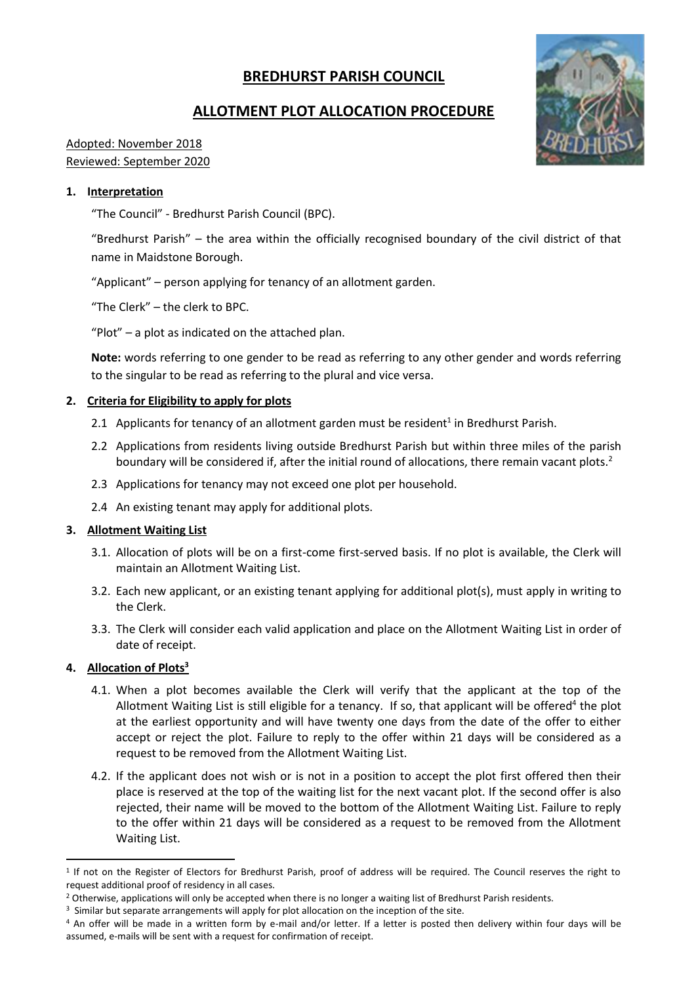# **BREDHURST PARISH COUNCIL**

# **ALLOTMENT PLOT ALLOCATION PROCEDURE**

## Adopted: November 2018 Reviewed: September 2020

### **1. Interpretation**

"The Council" - Bredhurst Parish Council (BPC).

"Bredhurst Parish" – the area within the officially recognised boundary of the civil district of that name in Maidstone Borough.

"Applicant" – person applying for tenancy of an allotment garden.

"The Clerk" – the clerk to BPC.

"Plot" – a plot as indicated on the attached plan.

**Note:** words referring to one gender to be read as referring to any other gender and words referring to the singular to be read as referring to the plural and vice versa.

#### **2. Criteria for Eligibility to apply for plots**

- 2.1 Applicants for tenancy of an allotment garden must be resident<sup>1</sup> in Bredhurst Parish.
- 2.2 Applications from residents living outside Bredhurst Parish but within three miles of the parish boundary will be considered if, after the initial round of allocations, there remain vacant plots.<sup>2</sup>
- 2.3 Applications for tenancy may not exceed one plot per household.
- 2.4 An existing tenant may apply for additional plots.

#### **3. Allotment Waiting List**

- 3.1. Allocation of plots will be on a first-come first-served basis. If no plot is available, the Clerk will maintain an Allotment Waiting List.
- 3.2. Each new applicant, or an existing tenant applying for additional plot(s), must apply in writing to the Clerk.
- 3.3. The Clerk will consider each valid application and place on the Allotment Waiting List in order of date of receipt.

#### **4. Allocation of Plots<sup>3</sup>**

- 4.1. When a plot becomes available the Clerk will verify that the applicant at the top of the Allotment Waiting List is still eligible for a tenancy. If so, that applicant will be offered<sup>4</sup> the plot at the earliest opportunity and will have twenty one days from the date of the offer to either accept or reject the plot. Failure to reply to the offer within 21 days will be considered as a request to be removed from the Allotment Waiting List.
- 4.2. If the applicant does not wish or is not in a position to accept the plot first offered then their place is reserved at the top of the waiting list for the next vacant plot. If the second offer is also rejected, their name will be moved to the bottom of the Allotment Waiting List. Failure to reply to the offer within 21 days will be considered as a request to be removed from the Allotment Waiting List.



<sup>1</sup> If not on the Register of Electors for Bredhurst Parish, proof of address will be required. The Council reserves the right to request additional proof of residency in all cases.

<sup>&</sup>lt;sup>2</sup> Otherwise, applications will only be accepted when there is no longer a waiting list of Bredhurst Parish residents.

<sup>&</sup>lt;sup>3</sup> Similar but separate arrangements will apply for plot allocation on the inception of the site.

<sup>4</sup> An offer will be made in a written form by e-mail and/or letter. If a letter is posted then delivery within four days will be assumed, e-mails will be sent with a request for confirmation of receipt.